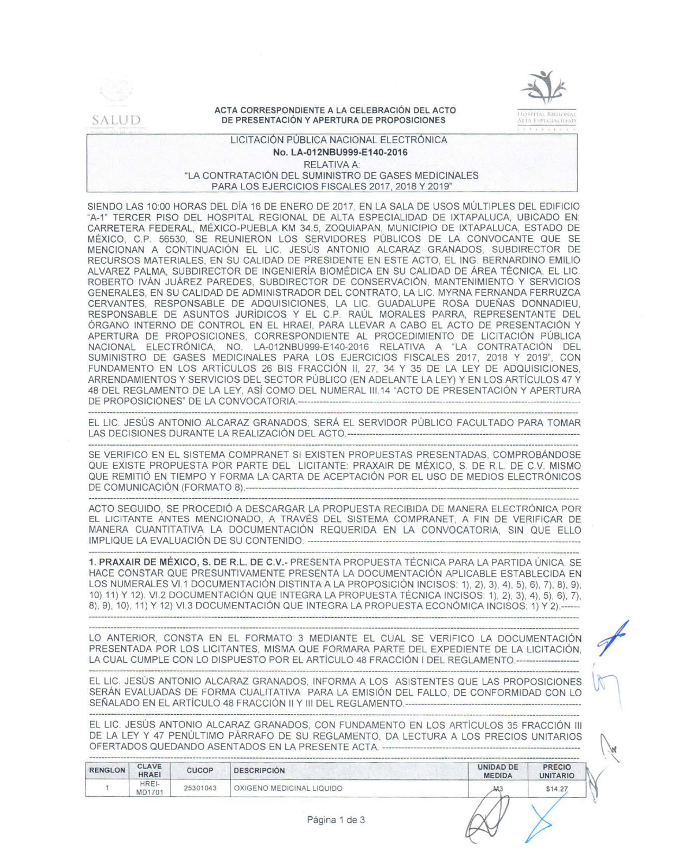

### ACTA CORRESPONDIENTE A LA CELEBRACIÓN DEL ACTO DE PRESENTACIÓN Y APERTURA DE PROPOSICIONES



# LICITACIÓN PÚBLICA NACIONAL ELECTRÓNICA No. LA-012NBU999-E140-2016 **RELATIVA A:** "LA CONTRATACIÓN DEL SUMINISTRO DE GASES MEDICINALES PARA LOS EJERCICIOS FISCALES 2017, 2018 Y 2019"

SIENDO LAS 10:00 HORAS DEL DÍA 16 DE ENERO DE 2017, EN LA SALA DE USOS MÚLTIPLES DEL EDIFICIO "A-1" TERCER PISO DEL HOSPITAL REGIONAL DE ALTA ESPECIALIDAD DE IXTAPALUCA, UBICADO EN: CARRETERA FEDERAL, MÉXICO-PUEBLA KM 34.5, ZOQUIAPAN, MUNICIPIO DE IXTAPALUCA, ESTADO DE MÉXICO, C.P. 56530, SE REUNIERON LOS SERVIDORES PÚBLICOS DE LA CONVOCANTE QUE SE MENCIONAN A CONTINUACIÓN EL LIC. JESÚS ANTONIO ALCARAZ GRANADOS, SUBDIRECTOR DE RECURSOS MATERIALES, EN SU CALIDAD DE PRESIDENTE EN ESTE ACTO, EL ING. BERNARDINO EMILIO ALVAREZ PALMA, SUBDIRECTOR DE INGENIERÍA BIOMÉDICA EN SU CALIDAD DE ÁREA TÉCNICA, EL LIC. ROBERTO IVÁN JUÁREZ PAREDES, SUBDIRECTOR DE CONSERVACIÓN, MANTENIMIENTO Y SERVICIOS GENERALES. EN SU CALIDAD DE ADMINISTRADOR DEL CONTRATO. LA LIC. MYRNA FERNANDA FERRUZCA CERVANTES, RESPONSABLE DE ADQUISICIONES, LA LIC. GUADALUPE ROSA DUEÑAS DONNADIEU, RESPONSABLE DE ASUNTOS JURÍDICOS Y EL C.P. RAÚL MORALES PARRA, REPRESENTANTE DEL ÓRGANO INTERNO DE CONTROL EN EL HRAEI, PARA LLEVAR A CABO EL ACTO DE PRESENTACIÓN Y APERTURA DE PROPOSICIONES, CORRESPONDIENTE AL PROCEDIMIENTO DE LICITACIÓN PÚBLICA NACIONAL ELECTRÓNICA. NO. LA-012NBU999-E140-2016 RELATIVA A "LA CONTRATACIÓN DEL SUMINISTRO DE GASES MEDICINALES PARA LOS EJERCICIOS FISCALES 2017, 2018 Y 2019", CON FUNDAMENTO EN LOS ARTÍCULOS 26 BIS FRACCIÓN II, 27, 34 Y 35 DE LA LEY DE ADQUISICIONES, ARRENDAMIENTOS Y SERVICIOS DEL SECTOR PÚBLICO (EN ADELANTE LA LEY) Y EN LOS ARTÍCULOS 47 Y 48 DEL REGLAMENTO DE LA LEY, ASÍ COMO DEL NUMERAL III.14 "ACTO DE PRESENTACIÓN Y APERTURA 

EL LIC. JESÚS ANTONIO ALCARAZ GRANADOS, SERÁ EL SERVIDOR PÚBLICO FACULTADO PARA TOMAR 

SE VERIFICO EN EL SISTEMA COMPRANET SI EXISTEN PROPUESTAS PRESENTADAS, COMPROBÁNDOSE QUE EXISTE PROPUESTA POR PARTE DEL LICITANTE: PRAXAIR DE MÉXICO, S. DE R.L. DE C.V. MISMO QUE REMITIÓ EN TIEMPO Y FORMA LA CARTA DE ACEPTACIÓN POR EL USO DE MEDIOS ELECTRÓNICOS DE COMUNICACIÓN (FORMATO 8).-------------

ACTO SEGUIDO, SE PROCEDIÓ A DESCARGAR LA PROPUESTA RECIBIDA DE MANERA ELECTRÓNICA POR EL LICITANTE ANTES MENCIONADO, A TRAVÉS DEL SISTEMA COMPRANET, A FIN DE VERIFICAR DE MANERA CUANTITATIVA LA DOCUMENTACIÓN REQUERIDA EN LA CONVOCATORIA. SIN QUE ELLO 

1. PRAXAIR DE MÉXICO, S. DE R.L. DE C.V.- PRESENTA PROPUESTA TÉCNICA PARA LA PARTIDA ÚNICA. SE HACE CONSTAR QUE PRESUNTIVAMENTE PRESENTA LA DOCUMENTACIÓN APLICABLE ESTABLECIDA EN LOS NUMERALES VI.1 DOCUMENTACIÓN DISTINTA A LA PROPOSICIÓN INCISOS: 1), 2), 3), 4), 5), 6), 7), 8), 9), 10) 11) Y 12). VI.2 DOCUMENTACIÓN QUE INTEGRA LA PROPUESTA TÉCNICA INCISOS: 1), 2), 3), 4), 5), 6), 7), 8), 9), 10), 11) Y 12) VI.3 DOCUMENTACIÓN QUE INTEGRA LA PROPUESTA ECONÓMICA INCISOS: 1) Y 2).-----

LO ANTERIOR, CONSTA EN EL FORMATO 3 MEDIANTE EL CUAL SE VERIFICO LA DOCUMENTACIÓN PRESENTADA POR LOS LICITANTES, MISMA QUE FORMARA PARTE DEL EXPEDIENTE DE LA LICITACIÓN. LA CUAL CUMPLE CON LO DISPUESTO POR EL ARTÍCULO 48 FRACCIÓN I DEL REGLAMENTO.-------

EL LIC. JESÚS ANTONIO ALCARAZ GRANADOS, INFORMA A LOS ASISTENTES QUE LAS PROPOSICIONES SERÁN EVALUADAS DE FORMA CUALITATIVA PARA LA EMISIÓN DEL FALLO, DE CONFORMIDAD CON LO 

EL LIC. JESÚS ANTONIO ALCARAZ GRANADOS, CON FUNDAMENTO EN LOS ARTÍCULOS 35 FRACCIÓN III DE LA LEY Y 47 PENÚLTIMO PÁRRAFO DE SU REGLAMENTO, DA LECTURA A LOS PRECIOS UNITARIOS 

| <b>RENGLON</b> | <b>CLAVE</b><br><b>HRAEI</b> | <b>CUCOP</b> | <b>DESCRIPCIÓN</b>        | <b>UNIDAD DE</b><br><b>MEDIDA</b> | <b>PRECIO</b><br><b>UNITARIO</b> |
|----------------|------------------------------|--------------|---------------------------|-----------------------------------|----------------------------------|
|                | HREI-<br><b>MD1701</b>       | 25301043     | OXIGENO MEDICINAL LIQUIDO | M.                                | \$14.27                          |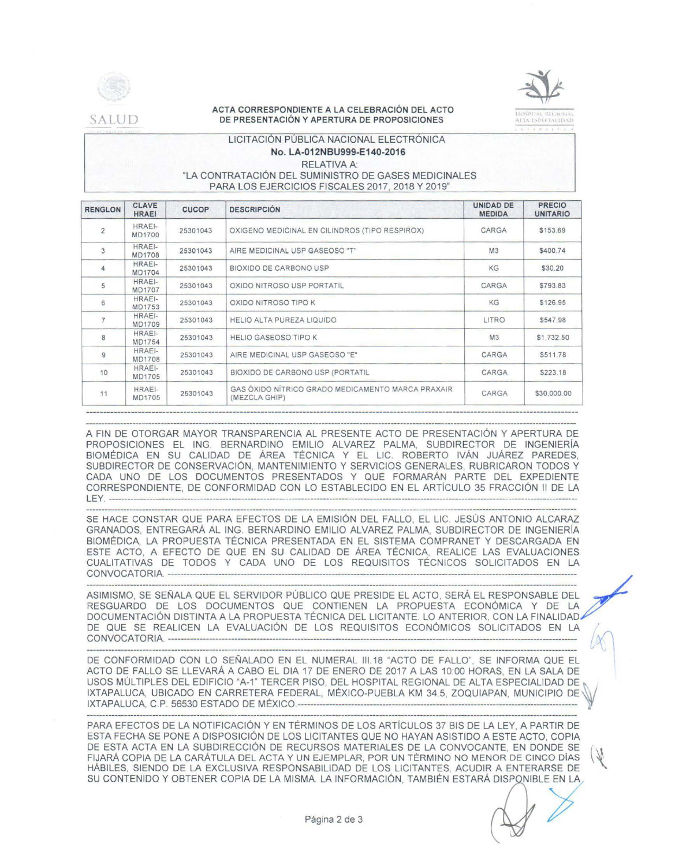

SALUD

## ACTA CORRESPONDIENTE A LA CELEBRACIÓN DEL ACTO DE PRESENTACIÓN Y APERTURA DE PROPOSICIONES

# LICITACIÓN PÚBLICA NACIONAL ELECTRÓNICA No. LA-012NBU999-E140-2016 **RELATIVA A:** "LA CONTRATACIÓN DEL SUMINISTRO DE GASES MEDICINALES PARA LOS EJERCICIOS FISCALES 2017, 2018 Y 2019"

| <b>RENGLON</b> | <b>CLAVE</b><br><b>HRAEI</b>   | <b>CUCOP</b> | <b>DESCRIPCIÓN</b>                                                 | UNIDAD DE<br><b>MEDIDA</b> | <b>PRECIO</b><br><b>UNITARIO</b> |
|----------------|--------------------------------|--------------|--------------------------------------------------------------------|----------------------------|----------------------------------|
| $\overline{2}$ | HRAEI-<br>MD1700               | 25301043     | OXIGENO MEDICINAL EN CILINDROS (TIPO RESPIROX)                     | CARGA                      | \$153.69                         |
| 3              | HRAEI-<br><b>MD1708</b>        | 25301043     | AIRE MEDICINAL USP GASEOSO "T"                                     | M3                         | \$400.74                         |
| 4              | <b>HRAEI-</b><br>MD1704        | 25301043     | BIOXIDO DE CARBONO USP                                             | KG                         | \$30.20                          |
| 5              | HRAEI-<br><b>MD1707</b>        | 25301043     | OXIDO NITROSO USP PORTATIL                                         | CARGA                      | \$793.83                         |
| 6              | HRAEI-<br>MD1753               | 25301043     | OXIDO NITROSO TIPO K                                               | KG                         | \$126.95                         |
|                | HRAEI-<br>MD1709               | 25301043     | HELIO ALTA PUREZA LIQUIDO                                          | LITRO                      | \$547.98                         |
| 8              | HRAEI-<br>MD1754               | 25301043     | <b>HELIO GASEOSO TIPO K</b>                                        | M3                         | \$1,732.50                       |
| 9              | <b>HRAEI-</b><br><b>MD1708</b> | 25301043     | AIRE MEDICINAL USP GASEOSO "E"                                     | CARGA                      | \$511.78                         |
| 10             | HRAEI-<br>MD1705               | 25301043     | BIOXIDO DE CARBONO USP (PORTATIL                                   | CARGA                      | \$223.18                         |
| 11             | HRAEI-<br>MD1705               | 25301043     | GAS ÓXIDO NÍTRICO GRADO MEDICAMENTO MARCA PRAXAIR<br>(MEZCLA GHIP) | CARGA                      | \$30,000.00                      |

A FIN DE OTORGAR MAYOR TRANSPARENCIA AL PRESENTE ACTO DE PRESENTACIÓN Y APERTURA DE PROPOSICIONES EL ING. BERNARDINO EMILIO ALVAREZ PALMA, SUBDIRECTOR DE INGENIERÍA BIOMÉDICA EN SU CALIDAD DE ÁREA TÉCNICA Y EL LIC. ROBERTO IVÁN JUÁREZ PAREDES, SUBDIRECTOR DE CONSERVACIÓN, MANTENIMIENTO Y SERVICIOS GENERALES, RUBRICARON TODOS Y CADA UNO DE LOS DOCUMENTOS PRESENTADOS Y QUE FORMARÁN PARTE DEL EXPEDIENTE CORRESPONDIENTE, DE CONFORMIDAD CON LO ESTABLECIDO EN EL ARTÍCULO 35 FRACCIÓN II DE LA  $I$  FY  $-$ 

SE HACE CONSTAR QUE PARA EFECTOS DE LA EMISIÓN DEL FALLO, EL LIC. JESÚS ANTONIO ALCARAZ GRANADOS, ENTREGARÁ AL ING. BERNARDINO EMILIO ALVAREZ PALMA, SUBDIRECTOR DE INGENIERÍA BIOMÉDICA, LA PROPUESTA TÉCNICA PRESENTADA EN EL SISTEMA COMPRANET Y DESCARGADA EN ESTE ACTO, A EFECTO DE QUE EN SU CALIDAD DE ÁREA TÉCNICA, REALICE LAS EVALUACIONES CUALITATIVAS DE TODOS Y CADA UNO DE LOS REQUISITOS TÉCNICOS SOLICITADOS EN LA 

ASIMISMO. SE SEÑALA QUE EL SERVIDOR PÚBLICO QUE PRESIDE EL ACTO. SERÁ EL RESPONSABLE DEL RESGUARDO DE LOS DOCUMENTOS QUE CONTIENEN LA PROPUESTA ECONÓMICA Y DE LA DOCUMENTACIÓN DISTINTA A LA PROPUESTA TÉCNICA DEL LICITANTE. LO ANTERIOR, CON LA FINALIDAD∕ DE QUE SE REALICEN LA EVALUACIÓN DE LOS REQUISITOS ECONÓMICOS SOLICITADOS EN LA 

DE CONFORMIDAD CON LO SEÑALADO EN EL NUMERAL III.18 "ACTO DE FALLO", SE INFORMA QUE EL ACTO DE FALLO SE LLEVARÁ A CABO EL DIA 17 DE ENERO DE 2017 A LAS 10:00 HORAS, EN LA SALA DE USOS MÚLTIPLES DEL EDIFICIO "A-1" TERCER PISO, DEL HOSPITAL REGIONAL DE ALTA ESPECIALIDAD DE IXTAPALUCA, UBICADO EN CARRETERA FEDERAL, MÉXICO-PUEBLA KM 34.5, ZOQUIAPAN, MUNICIPIO DE 

PARA EFECTOS DE LA NOTIFICACIÓN Y EN TÉRMINOS DE LOS ARTÍCULOS 37 BIS DE LA LEY, A PARTIR DE ESTA FECHA SE PONE A DISPOSICIÓN DE LOS LICITANTES QUE NO HAYAN ASISTIDO A ESTE ACTO, COPIA DE ESTA ACTA EN LA SUBDIRECCIÓN DE RECURSOS MATERIALES DE LA CONVOCANTE, EN DONDE SE FIJARÁ COPIA DE LA CARÁTULA DEL ACTA Y UN EJEMPLAR, POR UN TÉRMINO NO MENOR DE CINCO DÍAS HABILES, SIENDO DE LA EXCLUSIVA RESPONSABILIDAD DE LOS LICITANTES, ACUDIR A ENTERARSE DE SU CONTENIDO Y OBTENER COPIA DE LA MISMA. LA INFORMACIÓN, TAMBIÉN ESTARÁ DISPONIBLE EN LA,